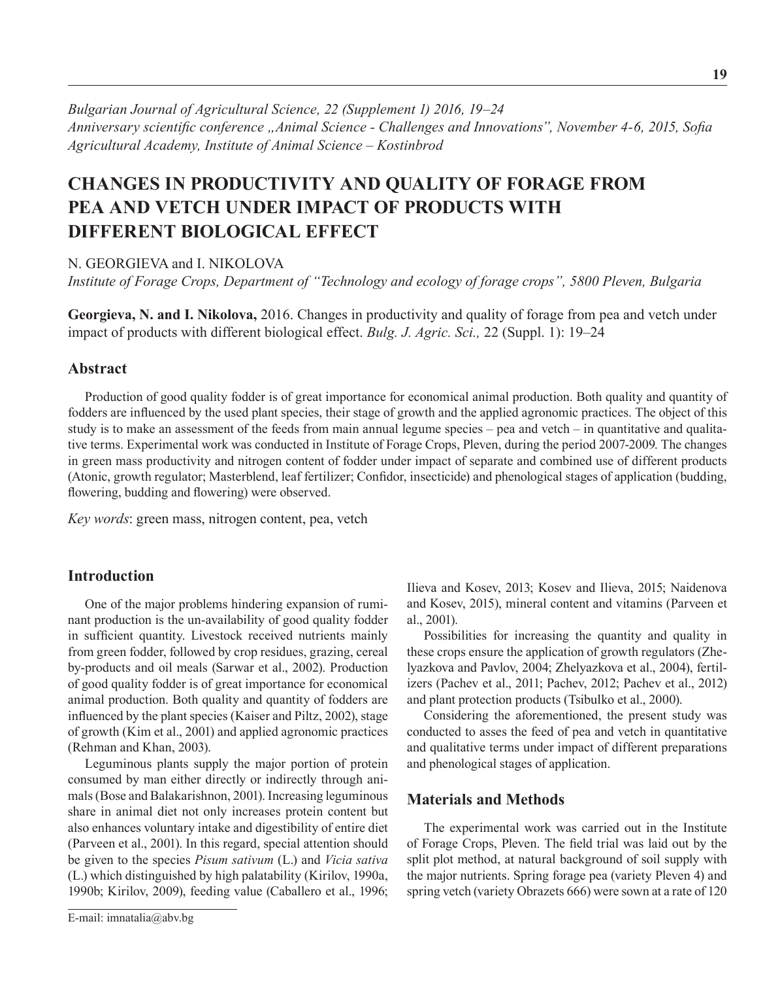*Bulgarian Journal of Agricultural Science, 22 (Supplement 1) 2016, 19–24 Anniversary scientific conference "Animal Science - Challenges and Innovations", November 4-6, 2015, Sofia Agricultural Academy, Institute оf Animal Science – Kostinbrod*

# **Changes in Productivity and Quality of Forage from PEA AND VETCH UNDER IMPACT OF PRODUCTS WITH Different Biological Effect**

N. GEORGIEVA and I. NIKOLOVA

*Institute of Forage Crops, Department of "Technology and ecology of forage crops", 5800 Pleven, Bulgaria*

**Georgieva, N. and I. Nikolova,** 2016. Changes in productivity and quality of forage from pea and vetch under impact of products with different biological effect. *Bulg. J. Agric. Sci.,* 22 (Suppl. 1): 19–24

## **Abstract**

Production of good quality fodder is of great importance for economical animal production. Both quality and quantity of fodders are influenced by the used plant species, their stage of growth and the applied agronomic practices. The object of this study is to make an assessment of the feeds from main annual legume species – pea and vetch – in quantitative and qualitative terms. Experimental work was conducted in Institute of Forage Crops, Pleven, during the period 2007-2009. The changes in green mass productivity and nitrogen content of fodder under impact of separate and combined use of different products (Atonic, growth regulator; Masterblend, leaf fertilizer; Confidor, insecticide) and phenological stages of application (budding, flowering, budding and flowering) were observed.

*Key words*: green mass, nitrogen content, pea, vetch

# **Introduction**

One of the major problems hindering expansion of ruminant production is the un-availability of good quality fodder in sufficient quantity. Livestock received nutrients mainly from green fodder, followed by crop residues, grazing, cereal by-products and oil meals (Sarwar et al., 2002). Production of good quality fodder is of great importance for economical animal production. Both quality and quantity of fodders are influenced by the plant species (Kaiser and Piltz, 2002), stage of growth (Kim et al., 2001) and applied agronomic practices (Rehman and Khan, 2003).

Leguminous plants supply the major portion of protein consumed by man either directly or indirectly through animals (Bose and Balakarishnon, 2001). Increasing leguminous share in animal diet not only increases protein content but also enhances voluntary intake and digestibility of entire diet (Parveen et al., 2001). In this regard, special attention should be given to the species *Pisum sativum* (L.) and *Vicia sativa* (L.) which distinguished by high palatability (Kirilov, 1990a, 1990b; Kirilov, 2009), feeding value (Caballero et al., 1996; Ilieva and Kosev, 2013; Kosev and Ilieva, 2015; Naidenova and Kosev, 2015), mineral content and vitamins (Parveen et al., 2001).

Possibilities for increasing the quantity and quality in these crops ensure the application of growth regulators (Zhelyazkova and Pavlov, 2004; Zhelyazkova et al., 2004), fertilizers (Pachev et al., 2011; Pachev, 2012; Pachev et al., 2012) and plant protection products (Tsibulko et al., 2000).

Considering the aforementioned, the present study was conducted to asses the feed of pea and vetch in quantitative and qualitative terms under impact of different preparations and phenological stages of application.

#### **Materials and Methods**

The experimental work was carried out in the Institute of Forage Crops, Pleven. The field trial was laid out by the split plot method, at natural background of soil supply with the major nutrients. Spring forage pea (variety Pleven 4) and spring vetch (variety Obrazets 666) were sown at a rate of 120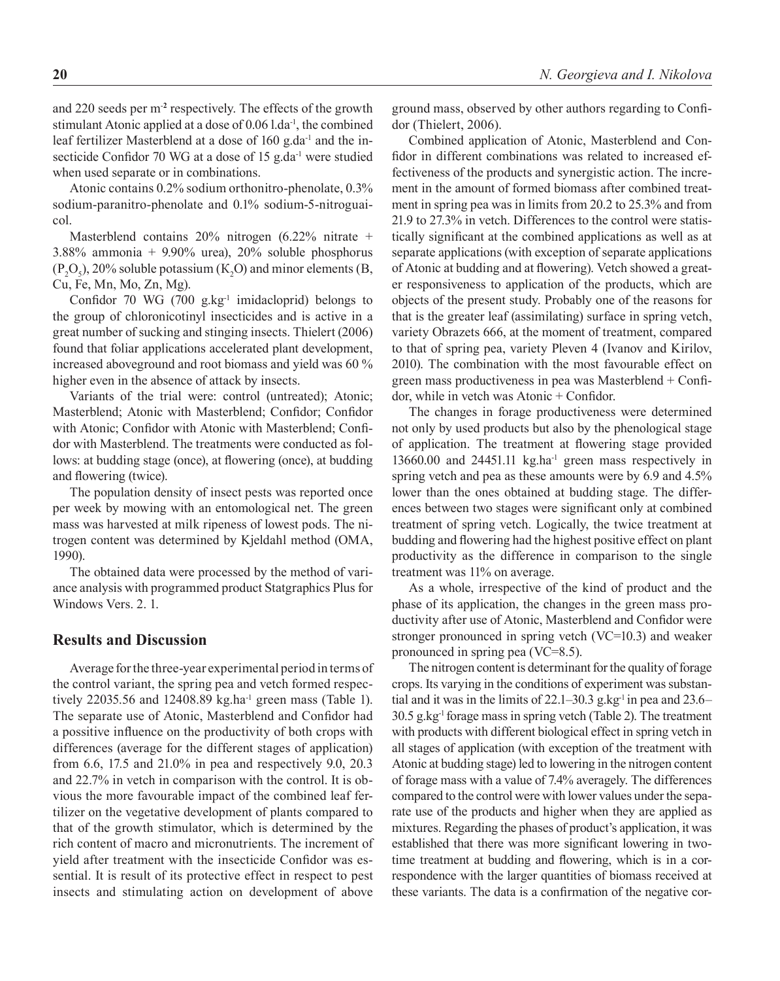and 220 seeds per m-**<sup>2</sup>** respectively. The effects of the growth stimulant Atonic applied at a dose of  $0.06$  l.da<sup>-1</sup>, the combined leaf fertilizer Masterblend at a dose of 160 g.da<sup>-1</sup> and the insecticide Confidor 70 WG at a dose of 15 g.da<sup>-1</sup> were studied when used separate or in combinations.

Atonic contains 0.2% sodium orthonitro-phenolate, 0.3% sodium-paranitro-phenolate and 0.1% sodium-5-nitroguaicol.

Masterblend contains 20% nitrogen (6.22% nitrate + 3.88% ammonia + 9.90% urea), 20% soluble phosphorus  $(P_2O_5)$ , 20% soluble potassium (K<sub>2</sub>O) and minor elements (B, Cu, Fe, Mn, Mo, Zn, Mg).

Confidor 70 WG (700  $g.kg^{-1}$  imidacloprid) belongs to the group of chloronicotinyl insecticides and is active in a great number of sucking and stinging insects. Thielert (2006) found that foliar applications accelerated plant development, increased aboveground and root biomass and yield was 60 % higher even in the absence of attack by insects.

Variants of the trial were: control (untreated); Atonic; Masterblend; Atonic with Masterblend; Confidor; Confidor with Atonic; Confidor with Atonic with Masterblend; Confidor with Masterblend. The treatments were conducted as follows: at budding stage (once), at flowering (once), at budding and flowering (twice).

The population density of insect pests was reported once per week by mowing with an entomological net. The green mass was harvested at milk ripeness of lowest pods. The nitrogen content was determined by Kjeldahl method (OMA, 1990).

The obtained data were processed by the method of variance analysis with programmed product Statgraphics Plus for Windows Vers. 2. 1.

# **Results and Discussion**

Average for the three-year experimental period in terms of the control variant, the spring pea and vetch formed respectively 22035.56 and 12408.89 kg.ha<sup>-1</sup> green mass (Table 1). The separate use of Atonic, Masterblend and Confidor had a possitive influence on the productivity of both crops with differences (average for the different stages of application) from 6.6, 17.5 and 21.0% in pea and respectively 9.0, 20.3 and 22.7% in vetch in comparison with the control. It is obvious the more favourable impact of the combined leaf fertilizer on the vegetative development of plants compared to that of the growth stimulator, which is determined by the rich content of macro and micronutrients. The increment of yield after treatment with the insecticide Confidor was essential. It is result of its protective effect in respect to pest insects and stimulating action on development of above ground mass, observed by other authors regarding to Confidor (Thielert, 2006).

Combined application of Atonic, Masterblend and Confidor in different combinations was related to increased effectiveness of the products and synergistic action. The increment in the amount of formed biomass after combined treatment in spring pea was in limits from 20.2 to 25.3% and from 21.9 to 27.3% in vetch. Differences to the control were statistically significant at the combined applications as well as at separate applications (with exception of separate applications of Atonic at budding and at flowering). Vetch showed a greater responsiveness to application of the products, which are objects of the present study. Probably one of the reasons for that is the greater leaf (assimilating) surface in spring vetch, variety Obrazets 666, at the moment of treatment, compared to that of spring pea, variety Pleven 4 (Ivanov and Kirilov, 2010). The combination with the most favourable effect on green mass productiveness in pea was Masterblend + Confidor, while in vetch was Atonic + Confidor.

The changes in forage productiveness were determined not only by used products but also by the phenological stage of application. The treatment at flowering stage provided 13660.00 and 24451.11 kg.ha-1 green mass respectively in spring vetch and pea as these amounts were by 6.9 and 4.5% lower than the ones obtained at budding stage. The differences between two stages were significant only at combined treatment of spring vetch. Logically, the twice treatment at budding and flowering had the highest positive effect on plant productivity as the difference in comparison to the single treatment was 11% on average.

As a whole, irrespective of the kind of product and the phase of its application, the changes in the green mass productivity after use of Atonic, Masterblend and Confidor were stronger pronounced in spring vetch (VC=10.3) and weaker pronounced in spring pea (VC=8.5).

The nitrogen content is determinant for the quality of forage crops. Its varying in the conditions of experiment was substantial and it was in the limits of  $22.1-30.3$  g.kg<sup>-1</sup> in pea and  $23.6-$ 30.5 g.kg-1 forage mass in spring vetch (Table 2). The treatment with products with different biological effect in spring vetch in all stages of application (with exception of the treatment with Atonic at budding stage) led to lowering in the nitrogen content of forage mass with a value of 7.4% averagely. The differences compared to the control were with lower values under the separate use of the products and higher when they are applied as mixtures. Regarding the phases of product's application, it was established that there was more significant lowering in twotime treatment at budding and flowering, which is in a correspondence with the larger quantities of biomass received at these variants. The data is a confirmation of the negative cor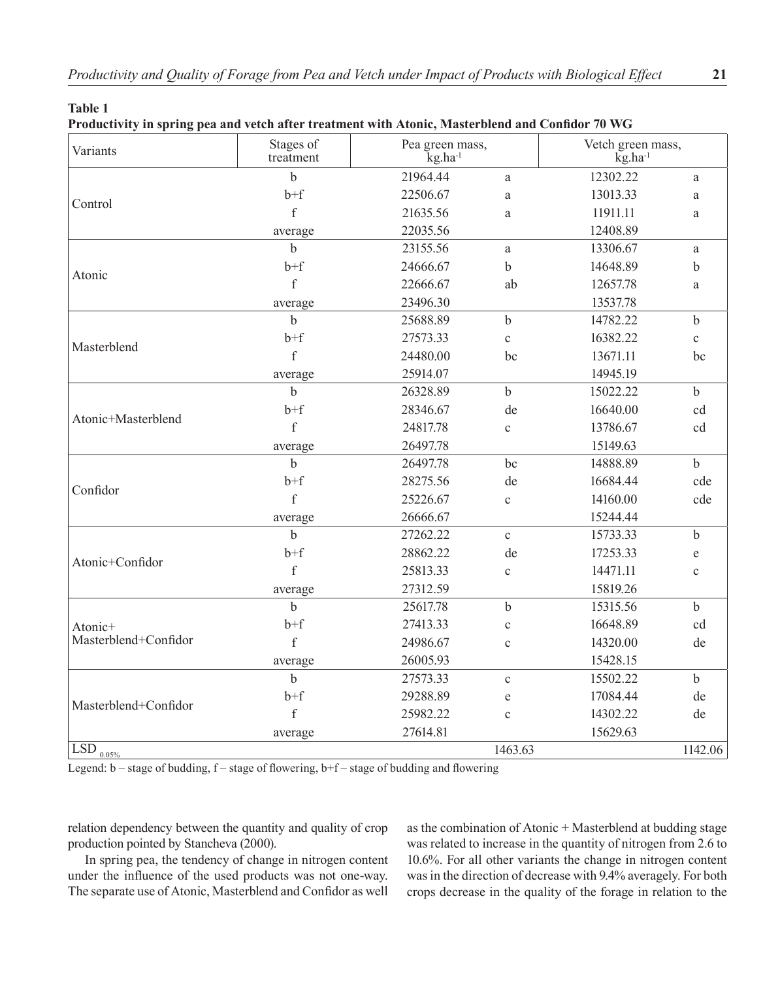**Table 1**

**Productivity in spring pea and vetch after treatment with Atonic, Masterblend and Confidor 70 WG** 

| Variants                                                                                                                                         | Stages of<br>treatment | Pea green mass,<br>$kg$ .ha <sup>-1</sup> |              | kg.ha <sup>1</sup> | Vetch green mass, |  |  |
|--------------------------------------------------------------------------------------------------------------------------------------------------|------------------------|-------------------------------------------|--------------|--------------------|-------------------|--|--|
|                                                                                                                                                  | $\mathbf b$            | 21964.44                                  | a            | 12302.22           | a                 |  |  |
|                                                                                                                                                  | $b+f$                  | 22506.67                                  | a            | 13013.33           | a                 |  |  |
|                                                                                                                                                  | $\mathbf{f}$           | 21635.56                                  | a            | 11911.11           | a                 |  |  |
|                                                                                                                                                  | average                | 22035.56                                  |              | 12408.89           |                   |  |  |
|                                                                                                                                                  | $\mathbf b$            | 23155.56                                  | a            | 13306.67           | $\mathbf{a}$      |  |  |
|                                                                                                                                                  | $b+f$                  | 24666.67                                  | b            | 14648.89           | $\mathbf b$       |  |  |
|                                                                                                                                                  | $\mathbf{f}$           | 22666.67                                  | ab           | 12657.78           | a                 |  |  |
|                                                                                                                                                  | average                | 23496.30                                  |              | 13537.78           |                   |  |  |
|                                                                                                                                                  | $\mathbf b$            | 25688.89                                  | $\mathbf b$  | 14782.22           | $\mathbf b$       |  |  |
|                                                                                                                                                  | $b + f$                | 27573.33                                  | $\mathbf c$  | 16382.22           | $\mathbf{C}$      |  |  |
|                                                                                                                                                  | f                      | 24480.00                                  | bc           | 13671.11           | bc                |  |  |
| Control<br>Atonic<br>Masterblend<br>Atonic+Masterblend<br>Confidor<br>Atonic+Confidor<br>Atonic+<br>Masterblend+Confidor<br>Masterblend+Confidor | average                | 25914.07                                  |              | 14945.19           |                   |  |  |
|                                                                                                                                                  | $\mathbf b$            | 26328.89                                  | $\mathbf b$  | 15022.22           | $\mathbf b$       |  |  |
|                                                                                                                                                  | $b+f$                  | 28346.67                                  | de           | 16640.00           | cd                |  |  |
|                                                                                                                                                  | f                      | 24817.78                                  | $\mathbf c$  | 13786.67           | cd                |  |  |
|                                                                                                                                                  | average                | 26497.78                                  |              | 15149.63           |                   |  |  |
|                                                                                                                                                  | $\mathbf b$            | 26497.78                                  | bc           | 14888.89           | $\mathbf b$       |  |  |
|                                                                                                                                                  | $b + f$                | 28275.56                                  | de           | 16684.44           | cde               |  |  |
|                                                                                                                                                  | $\mathbf{f}$           | 25226.67                                  | $\mathbf c$  | 14160.00           | cde               |  |  |
|                                                                                                                                                  | average                | 26666.67                                  |              | 15244.44           |                   |  |  |
|                                                                                                                                                  | $\mathbf b$            | 27262.22                                  | $\mathbf c$  | 15733.33           | $\mathbf b$       |  |  |
|                                                                                                                                                  | $b + f$                | 28862.22                                  | de           | 17253.33           | e                 |  |  |
|                                                                                                                                                  | $\mathbf f$            | 25813.33                                  | $\mathbf{C}$ | 14471.11           | $\mathbf c$       |  |  |
| $\overline{\text{LSD}}_{\underline{0.05\%}}$                                                                                                     | average                | 27312.59                                  |              | 15819.26           |                   |  |  |
|                                                                                                                                                  | $\mathbf b$            | 25617.78                                  | $\mathbf b$  | 15315.56           | $\mathbf b$       |  |  |
|                                                                                                                                                  | $b + f$                | 27413.33                                  | $\mathbf c$  | 16648.89           | cd                |  |  |
|                                                                                                                                                  | $\mathbf{f}$           | 24986.67                                  | $\mathbf c$  | 14320.00           | de                |  |  |
|                                                                                                                                                  | average                | 26005.93                                  |              | 15428.15           |                   |  |  |
|                                                                                                                                                  | $\mathbf b$            | 27573.33                                  | $\mathbf c$  | 15502.22           | $\mathbf b$       |  |  |
|                                                                                                                                                  | $b + f$                | 29288.89                                  | e            | 17084.44           | de                |  |  |
|                                                                                                                                                  | $\mathbf f$            | 25982.22                                  | $\mathbf{C}$ | 14302.22           | de                |  |  |
|                                                                                                                                                  |                        |                                           |              |                    |                   |  |  |
|                                                                                                                                                  | average                | 27614.81                                  |              | 15629.63           |                   |  |  |

Legend:  $b$  – stage of budding,  $f$  – stage of flowering,  $b$ + $f$  – stage of budding and flowering

relation dependency between the quantity and quality of crop production pointed by Stancheva (2000).

In spring pea, the tendency of change in nitrogen content under the influence of the used products was not one-way. The separate use of Atonic, Masterblend and Confidor as well as the combination of Atonic + Masterblend at budding stage was related to increase in the quantity of nitrogen from 2.6 to 10.6%. For all other variants the change in nitrogen content was in the direction of decrease with 9.4% averagely. For both crops decrease in the quality of the forage in relation to the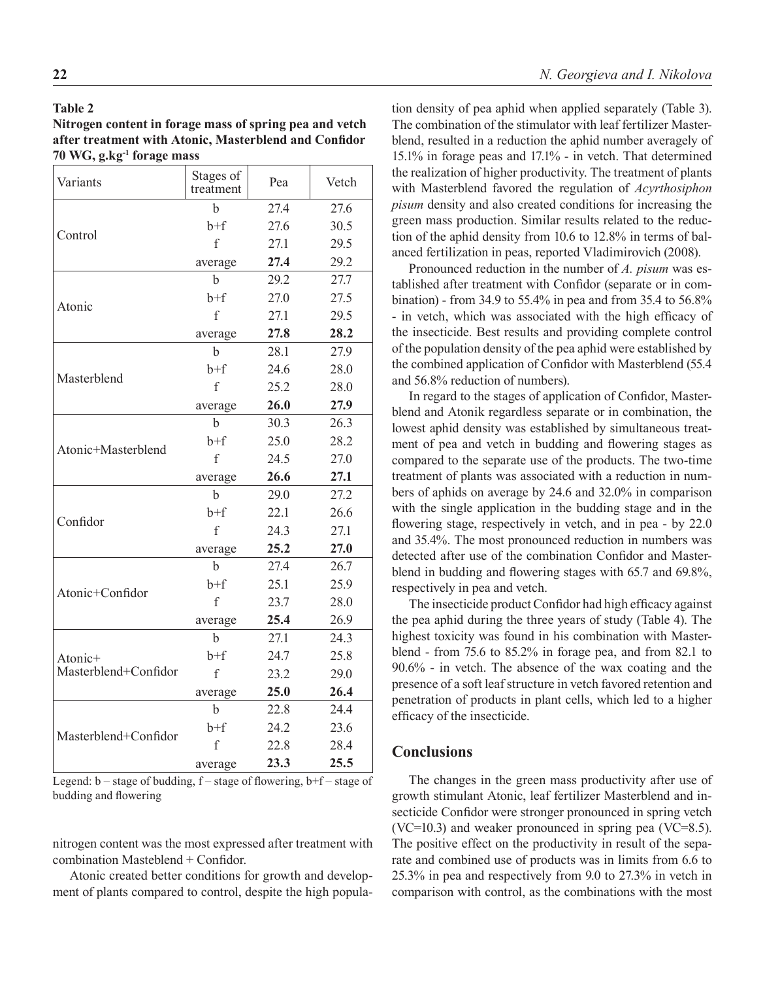#### **Table 2**

**Nitrogen content in forage mass of spring pea and vetch after treatment with Atonic, Masterblend and Confidor 70 WG, g.kg-1 forage mass**

| Variants             | Stages of<br>treatment                                                                                                                                                                                                                                                                                                                                                                                                                                                              | Pea  | Vetch |  |
|----------------------|-------------------------------------------------------------------------------------------------------------------------------------------------------------------------------------------------------------------------------------------------------------------------------------------------------------------------------------------------------------------------------------------------------------------------------------------------------------------------------------|------|-------|--|
|                      | h                                                                                                                                                                                                                                                                                                                                                                                                                                                                                   | 27.4 | 27.6  |  |
| Control              | $b+f$                                                                                                                                                                                                                                                                                                                                                                                                                                                                               | 27.6 | 30.5  |  |
|                      | $\mathbf{f}$                                                                                                                                                                                                                                                                                                                                                                                                                                                                        | 27.1 | 29.5  |  |
|                      | 27.4<br>average<br>$\mathbf b$<br>29.2<br>27.0<br>$h+f$<br>$\mathbf f$<br>27.1<br>27.8<br>average<br>b<br>28.1<br>$h+f$<br>24.6<br>f<br>25.2<br>26.0<br>average<br>h<br>30.3<br>25.0<br>$b+f$<br>f<br>24.5<br>26.6<br>average<br>29.0<br>b<br>$h+f$<br>22.1<br>f<br>24.3<br>25.2<br>average<br>27.4<br>h<br>$b+f$<br>25.1<br>$\mathbf{f}$<br>23.7<br>25.4<br>average<br>27.1<br>b<br>24.7<br>$b+f$<br>f<br>23.2<br>25.0<br>average<br>22.8<br>b<br>$h+f$<br>24.2<br>$\rm f$<br>22.8 | 29.2 |       |  |
|                      |                                                                                                                                                                                                                                                                                                                                                                                                                                                                                     |      | 27.7  |  |
| Atonic               |                                                                                                                                                                                                                                                                                                                                                                                                                                                                                     |      | 27.5  |  |
|                      |                                                                                                                                                                                                                                                                                                                                                                                                                                                                                     |      | 29.5  |  |
|                      |                                                                                                                                                                                                                                                                                                                                                                                                                                                                                     |      | 28.2  |  |
|                      |                                                                                                                                                                                                                                                                                                                                                                                                                                                                                     |      | 27.9  |  |
|                      |                                                                                                                                                                                                                                                                                                                                                                                                                                                                                     |      | 28.0  |  |
| Masterblend          |                                                                                                                                                                                                                                                                                                                                                                                                                                                                                     |      | 28.0  |  |
|                      |                                                                                                                                                                                                                                                                                                                                                                                                                                                                                     |      | 27.9  |  |
|                      |                                                                                                                                                                                                                                                                                                                                                                                                                                                                                     |      | 26.3  |  |
| Atonic+Masterblend   |                                                                                                                                                                                                                                                                                                                                                                                                                                                                                     |      | 28.2  |  |
|                      |                                                                                                                                                                                                                                                                                                                                                                                                                                                                                     |      | 27.0  |  |
|                      |                                                                                                                                                                                                                                                                                                                                                                                                                                                                                     |      | 27.1  |  |
|                      |                                                                                                                                                                                                                                                                                                                                                                                                                                                                                     |      | 27.2  |  |
| Confidor             |                                                                                                                                                                                                                                                                                                                                                                                                                                                                                     |      | 26.6  |  |
|                      |                                                                                                                                                                                                                                                                                                                                                                                                                                                                                     |      | 27.1  |  |
|                      |                                                                                                                                                                                                                                                                                                                                                                                                                                                                                     |      | 27.0  |  |
|                      |                                                                                                                                                                                                                                                                                                                                                                                                                                                                                     |      | 26.7  |  |
| Atonic+Confidor      |                                                                                                                                                                                                                                                                                                                                                                                                                                                                                     |      | 25.9  |  |
|                      |                                                                                                                                                                                                                                                                                                                                                                                                                                                                                     |      | 28.0  |  |
|                      |                                                                                                                                                                                                                                                                                                                                                                                                                                                                                     |      | 26.9  |  |
|                      |                                                                                                                                                                                                                                                                                                                                                                                                                                                                                     |      | 24.3  |  |
| Atonic+              |                                                                                                                                                                                                                                                                                                                                                                                                                                                                                     |      | 25.8  |  |
| Masterblend+Confidor |                                                                                                                                                                                                                                                                                                                                                                                                                                                                                     |      | 29.0  |  |
|                      |                                                                                                                                                                                                                                                                                                                                                                                                                                                                                     |      | 26.4  |  |
|                      |                                                                                                                                                                                                                                                                                                                                                                                                                                                                                     |      | 24.4  |  |
| Masterblend+Confidor |                                                                                                                                                                                                                                                                                                                                                                                                                                                                                     |      | 23.6  |  |
|                      |                                                                                                                                                                                                                                                                                                                                                                                                                                                                                     |      | 28.4  |  |
|                      | average                                                                                                                                                                                                                                                                                                                                                                                                                                                                             | 23.3 | 25.5  |  |

Legend: b – stage of budding, f – stage of flowering, b+f – stage of budding and flowering

nitrogen content was the most expressed after treatment with combination Masteblend + Confidor.

Atonic created better conditions for growth and development of plants compared to control, despite the high population density of pea aphid when applied separately (Table 3). The combination of the stimulator with leaf fertilizer Masterblend, resulted in a reduction the aphid number averagely of 15.1% in forage peas and 17.1% - in vetch. That determined the realization of higher productivity. The treatment of plants with Masterblend favored the regulation of *Acyrthosiphon pisum* density and also created conditions for increasing the green mass production. Similar results related to the reduction of the aphid density from 10.6 to 12.8% in terms of balanced fertilization in peas, reported Vladimirovich (2008).

Pronounced reduction in the number of *A. pisum* was established after treatment with Confidor (separate or in combination) - from 34.9 to 55.4% in pea and from 35.4 to 56.8% - in vetch, which was associated with the high efficacy of the insecticide. Best results and providing complete control of the population density of the pea aphid were established by the combined application of Confidor with Masterblend (55.4 and 56.8% reduction of numbers).

In regard to the stages of application of Confidor, Masterblend and Atonik regardless separate or in combination, the lowest aphid density was established by simultaneous treatment of pea and vetch in budding and flowering stages as compared to the separate use of the products. The two-time treatment of plants was associated with a reduction in numbers of aphids on average by 24.6 and 32.0% in comparison with the single application in the budding stage and in the flowering stage, respectively in vetch, and in pea - by 22.0 and 35.4%. The most pronounced reduction in numbers was detected after use of the combination Confidor and Masterblend in budding and flowering stages with 65.7 and 69.8%, respectively in pea and vetch.

The insecticide product Confidor had high efficacy against the pea aphid during the three years of study (Table 4). The highest toxicity was found in his combination with Masterblend - from 75.6 to 85.2% in forage pea, and from 82.1 to 90.6% - in vetch. The absence of the wax coating and the presence of a soft leaf structure in vetch favored retention and penetration of products in plant cells, which led to a higher efficacy of the insecticide.

# **Conclusions**

The changes in the green mass productivity after use of growth stimulant Atonic, leaf fertilizer Masterblend and insecticide Confidor were stronger pronounced in spring vetch (VC=10.3) and weaker pronounced in spring pea (VC=8.5). The positive effect on the productivity in result of the separate and combined use of products was in limits from 6.6 to 25.3% in pea and respectively from 9.0 to 27.3% in vetch in comparison with control, as the combinations with the most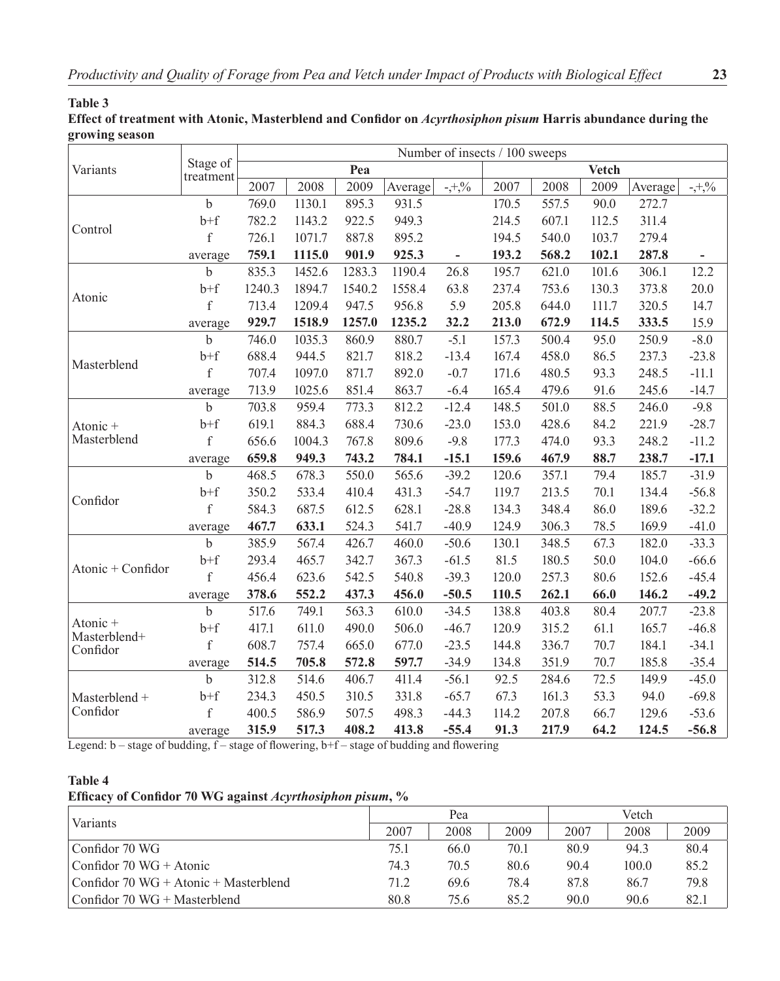# **Table 3**

**Effect of treatment with Atonic, Masterblend and Confidor on** *Acyrthosiphon pisum* **Harris abundance during the growing season**

|                                      | Stage of<br>treatment | Number of insects / 100 sweeps |        |        |         |                          |       |       |              |         |           |
|--------------------------------------|-----------------------|--------------------------------|--------|--------|---------|--------------------------|-------|-------|--------------|---------|-----------|
| Variants                             |                       |                                |        | Pea    |         |                          |       |       | <b>Vetch</b> |         |           |
|                                      |                       | 2007                           | 2008   | 2009   | Average | $-1,0/6$                 | 2007  | 2008  | 2009         | Average | $-1, 0/6$ |
|                                      | $\mathbf b$           | 769.0                          | 1130.1 | 895.3  | 931.5   |                          | 170.5 | 557.5 | 90.0         | 272.7   |           |
| Control                              | $b+f$                 | 782.2                          | 1143.2 | 922.5  | 949.3   |                          | 214.5 | 607.1 | 112.5        | 311.4   |           |
|                                      | $\rm f$               | 726.1                          | 1071.7 | 887.8  | 895.2   |                          | 194.5 | 540.0 | 103.7        | 279.4   |           |
|                                      | average               | 759.1                          | 1115.0 | 901.9  | 925.3   | $\overline{\phantom{0}}$ | 193.2 | 568.2 | 102.1        | 287.8   |           |
| Atonic                               | $\mathbf b$           | 835.3                          | 1452.6 | 1283.3 | 1190.4  | 26.8                     | 195.7 | 621.0 | 101.6        | 306.1   | 12.2      |
|                                      | $b+f$                 | 1240.3                         | 1894.7 | 1540.2 | 1558.4  | 63.8                     | 237.4 | 753.6 | 130.3        | 373.8   | 20.0      |
|                                      | $\rm f$               | 713.4                          | 1209.4 | 947.5  | 956.8   | 5.9                      | 205.8 | 644.0 | 111.7        | 320.5   | 14.7      |
|                                      | average               | 929.7                          | 1518.9 | 1257.0 | 1235.2  | 32.2                     | 213.0 | 672.9 | 114.5        | 333.5   | 15.9      |
| Masterblend                          | $\mathbf b$           | 746.0                          | 1035.3 | 860.9  | 880.7   | $-5.1$                   | 157.3 | 500.4 | 95.0         | 250.9   | $-8.0$    |
|                                      | $b+f$                 | 688.4                          | 944.5  | 821.7  | 818.2   | $-13.4$                  | 167.4 | 458.0 | 86.5         | 237.3   | $-23.8$   |
|                                      | $\rm f$               | 707.4                          | 1097.0 | 871.7  | 892.0   | $-0.7$                   | 171.6 | 480.5 | 93.3         | 248.5   | $-11.1$   |
|                                      | average               | 713.9                          | 1025.6 | 851.4  | 863.7   | $-6.4$                   | 165.4 | 479.6 | 91.6         | 245.6   | $-14.7$   |
|                                      | $\mathbf b$           | 703.8                          | 959.4  | 773.3  | 812.2   | $-12.4$                  | 148.5 | 501.0 | 88.5         | 246.0   | $-9.8$    |
| Atonic +                             | $b + f$               | 619.1                          | 884.3  | 688.4  | 730.6   | $-23.0$                  | 153.0 | 428.6 | 84.2         | 221.9   | $-28.7$   |
| Masterblend                          | $\rm f$               | 656.6                          | 1004.3 | 767.8  | 809.6   | $-9.8$                   | 177.3 | 474.0 | 93.3         | 248.2   | $-11.2$   |
|                                      | average               | 659.8                          | 949.3  | 743.2  | 784.1   | $-15.1$                  | 159.6 | 467.9 | 88.7         | 238.7   | $-17.1$   |
|                                      | b                     | 468.5                          | 678.3  | 550.0  | 565.6   | $-39.2$                  | 120.6 | 357.1 | 79.4         | 185.7   | $-31.9$   |
| Confidor                             | $b + f$               | 350.2                          | 533.4  | 410.4  | 431.3   | $-54.7$                  | 119.7 | 213.5 | 70.1         | 134.4   | $-56.8$   |
|                                      | $\rm f$               | 584.3                          | 687.5  | 612.5  | 628.1   | $-28.8$                  | 134.3 | 348.4 | 86.0         | 189.6   | $-32.2$   |
|                                      | average               | 467.7                          | 633.1  | 524.3  | 541.7   | $-40.9$                  | 124.9 | 306.3 | 78.5         | 169.9   | $-41.0$   |
|                                      | b                     | 385.9                          | 567.4  | 426.7  | 460.0   | $-50.6$                  | 130.1 | 348.5 | 67.3         | 182.0   | $-33.3$   |
| Atonic + Confidor                    | $b + f$               | 293.4                          | 465.7  | 342.7  | 367.3   | $-61.5$                  | 81.5  | 180.5 | 50.0         | 104.0   | $-66.6$   |
|                                      | f                     | 456.4                          | 623.6  | 542.5  | 540.8   | $-39.3$                  | 120.0 | 257.3 | 80.6         | 152.6   | $-45.4$   |
|                                      | average               | 378.6                          | 552.2  | 437.3  | 456.0   | $-50.5$                  | 110.5 | 262.1 | 66.0         | 146.2   | $-49.2$   |
| Atonic +<br>Masterblend+<br>Confidor | b                     | 517.6                          | 749.1  | 563.3  | 610.0   | $-34.5$                  | 138.8 | 403.8 | 80.4         | 207.7   | $-23.8$   |
|                                      | $b+f$                 | 417.1                          | 611.0  | 490.0  | 506.0   | $-46.7$                  | 120.9 | 315.2 | 61.1         | 165.7   | $-46.8$   |
|                                      | $\rm f$               | 608.7                          | 757.4  | 665.0  | 677.0   | $-23.5$                  | 144.8 | 336.7 | 70.7         | 184.1   | $-34.1$   |
|                                      | average               | 514.5                          | 705.8  | 572.8  | 597.7   | $-34.9$                  | 134.8 | 351.9 | 70.7         | 185.8   | $-35.4$   |
|                                      | $\mathbf b$           | 312.8                          | 514.6  | 406.7  | 411.4   | $-56.1$                  | 92.5  | 284.6 | 72.5         | 149.9   | $-45.0$   |
| Masterblend +                        | $b + f$               | 234.3                          | 450.5  | 310.5  | 331.8   | $-65.7$                  | 67.3  | 161.3 | 53.3         | 94.0    | $-69.8$   |
| Confidor                             | $\rm f$               | 400.5                          | 586.9  | 507.5  | 498.3   | $-44.3$                  | 114.2 | 207.8 | 66.7         | 129.6   | $-53.6$   |
|                                      | average               | 315.9                          | 517.3  | 408.2  | 413.8   | $-55.4$                  | 91.3  | 217.9 | 64.2         | 124.5   | $-56.8$   |

Legend: b – stage of budding, f – stage of flowering, b+f – stage of budding and flowering

## **Table 4**

**Efficacy of Confidor 70 WG against** *Acyrthosiphon pisum***, %**

| Variants                                | Pea  |      |      | Vetch |       |      |  |
|-----------------------------------------|------|------|------|-------|-------|------|--|
|                                         | 2007 | 2008 | 2009 | 2007  | 2008  | 2009 |  |
| ⊦Confidor 70 WG                         | 75.1 | 66.0 | 70.1 | 80.9  | 94.3  | 80.4 |  |
| Confidor 70 WG + Atonic                 | 74.3 | 70.5 | 80.6 | 90.4  | 100.0 | 85.2 |  |
| Confidor $70 WG + Atonic + Masterblend$ | 71.2 | 69.6 | 78.4 | 87.8  | 86.7  | 79.8 |  |
| Confidor $70 WG + Masterblend$          | 80.8 | 75.6 | 852  | 90.0  | 90.6  | 82.1 |  |